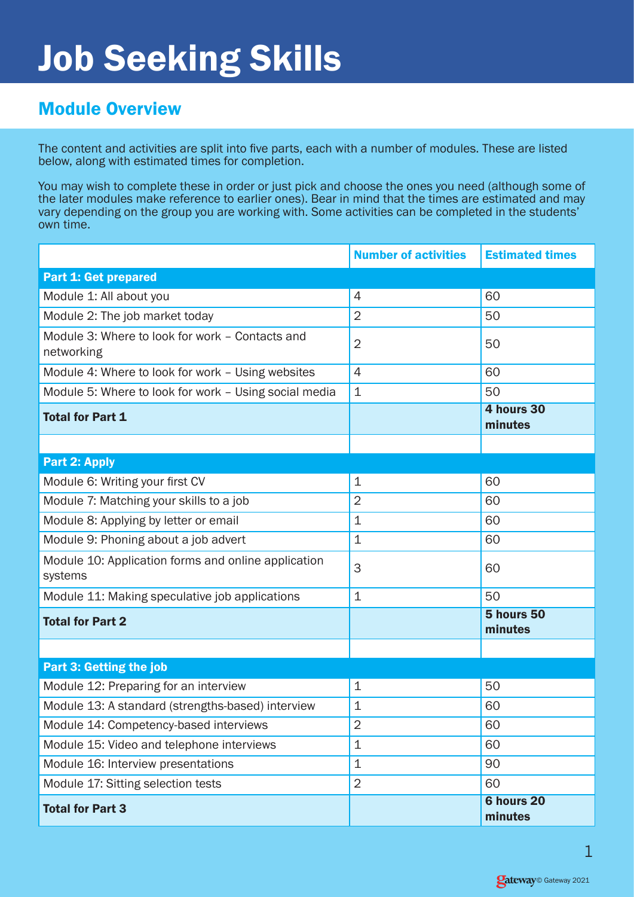## Job Seeking Skills

## Module Overview

The content and activities are split into five parts, each with a number of modules. These are listed below, along with estimated times for completion.

You may wish to complete these in order or just pick and choose the ones you need (although some of the later modules make reference to earlier ones). Bear in mind that the times are estimated and may vary depending on the group you are working with. Some activities can be completed in the students' own time.

|                                                                | <b>Number of activities</b> | <b>Estimated times</b>       |
|----------------------------------------------------------------|-----------------------------|------------------------------|
| <b>Part 1: Get prepared</b>                                    |                             |                              |
| Module 1: All about you                                        | $\overline{4}$              | 60                           |
| Module 2: The job market today                                 | $\overline{2}$              | 50                           |
| Module 3: Where to look for work - Contacts and<br>networking  | $\overline{2}$              | 50                           |
| Module 4: Where to look for work - Using websites              | $\overline{4}$              | 60                           |
| Module 5: Where to look for work - Using social media          | 1                           | 50                           |
| <b>Total for Part 1</b>                                        |                             | 4 hours 30<br>minutes        |
|                                                                |                             |                              |
| <b>Part 2: Apply</b>                                           |                             |                              |
| Module 6: Writing your first CV                                | $\mathbf 1$                 | 60                           |
| Module 7: Matching your skills to a job                        | $\overline{2}$              | 60                           |
| Module 8: Applying by letter or email                          | $\mathbf 1$                 | 60                           |
| Module 9: Phoning about a job advert                           | $\mathbf 1$                 | 60                           |
| Module 10: Application forms and online application<br>systems | 3                           | 60                           |
| Module 11: Making speculative job applications                 | $\mathbf 1$                 | 50                           |
| <b>Total for Part 2</b>                                        |                             | 5 hours 50<br>minutes        |
|                                                                |                             |                              |
| <b>Part 3: Getting the job</b>                                 |                             |                              |
| Module 12: Preparing for an interview                          | $\mathbf 1$                 | 50                           |
| Module 13: A standard (strengths-based) interview              | $\mathbf 1$                 | 60                           |
| Module 14: Competency-based interviews                         | 2                           | 60                           |
| Module 15: Video and telephone interviews                      | $\mathbf 1$                 | 60                           |
| Module 16: Interview presentations                             | 1                           | 90                           |
| Module 17: Sitting selection tests                             | $\overline{2}$              | 60                           |
| <b>Total for Part 3</b>                                        |                             | <b>6 hours 20</b><br>minutes |